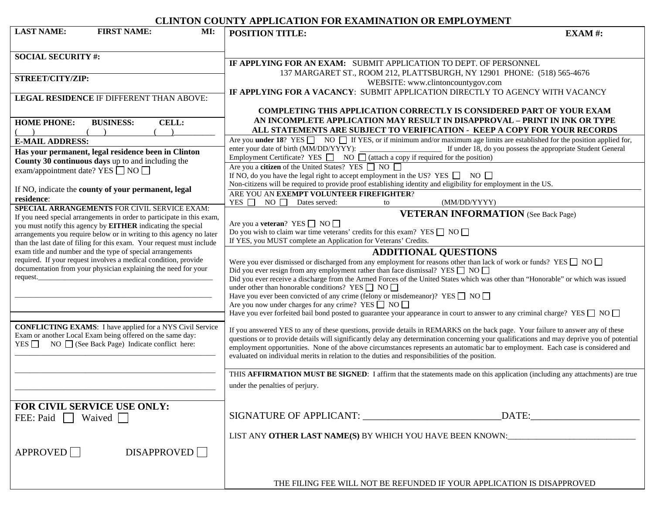# **CLINTON COUNTY APPLICATION FOR EXAMINATION OR EMPLOYMENT**

| <b>LAST NAME:</b><br><b>FIRST NAME:</b><br>MI:                                                                                                | CERTI ON COONTLE ART ERCATION LOR EARNMENTHON OR ENTERGRAPHY<br><b>POSITION TITLE:</b><br>EXAM#:                                                                                                       |
|-----------------------------------------------------------------------------------------------------------------------------------------------|--------------------------------------------------------------------------------------------------------------------------------------------------------------------------------------------------------|
| <b>SOCIAL SECURITY #:</b>                                                                                                                     |                                                                                                                                                                                                        |
|                                                                                                                                               | IF APPLYING FOR AN EXAM: SUBMIT APPLICATION TO DEPT. OF PERSONNEL                                                                                                                                      |
| STREET/CITY/ZIP:                                                                                                                              | 137 MARGARET ST., ROOM 212, PLATTSBURGH, NY 12901 PHONE: (518) 565-4676                                                                                                                                |
|                                                                                                                                               | WEBSITE: www.clintoncountygov.com<br>IF APPLYING FOR A VACANCY: SUBMIT APPLICATION DIRECTLY TO AGENCY WITH VACANCY                                                                                     |
| LEGAL RESIDENCE IF DIFFERENT THAN ABOVE:                                                                                                      |                                                                                                                                                                                                        |
|                                                                                                                                               | <b>COMPLETING THIS APPLICATION CORRECTLY IS CONSIDERED PART OF YOUR EXAM</b>                                                                                                                           |
| <b>HOME PHONE:</b><br><b>BUSINESS:</b><br><b>CELL:</b>                                                                                        | AN INCOMPLETE APPLICATION MAY RESULT IN DISAPPROVAL - PRINT IN INK OR TYPE                                                                                                                             |
|                                                                                                                                               | ALL STATEMENTS ARE SUBJECT TO VERIFICATION - KEEP A COPY FOR YOUR RECORDS                                                                                                                              |
| <b>E-MAIL ADDRESS:</b>                                                                                                                        | Are you <b>under 18</b> ? YES $\Box$ NO $\Box$ If YES, or if minimum and/or maximum age limits are established for the position applied for,                                                           |
| Has your permanent, legal residence been in Clinton                                                                                           | If under 18, do you possess the appropriate Student General<br>enter your date of birth (MM/DD/YYYY):                                                                                                  |
| County 30 continuous days up to and including the                                                                                             | Employment Certificate? YES $\Box$ NO $\Box$ (attach a copy if required for the position)                                                                                                              |
| exam/appointment date? YES $\Box$ NO $\Box$                                                                                                   | Are you a <b>citizen</b> of the United States? YES ■ NO                                                                                                                                                |
|                                                                                                                                               | If NO, do you have the legal right to accept employment in the US? YES $\Box$ NO $\Box$                                                                                                                |
| If NO, indicate the county of your permanent, legal                                                                                           | Non-citizens will be required to provide proof establishing identity and eligibility for employment in the US.                                                                                         |
| residence:                                                                                                                                    | ARE YOU AN EXEMPT VOLUNTEER FIREFIGHTER?<br>YES $\Box$<br>$NO$ $\Box$<br>Dates served:<br>(MM/DD/YYYY)<br>to                                                                                           |
| SPECIAL ARRANGEMENTS FOR CIVIL SERVICE EXAM:                                                                                                  |                                                                                                                                                                                                        |
| If you need special arrangements in order to participate in this exam,                                                                        | <b>VETERAN INFORMATION</b> (See Back Page)<br>Are you a <b>veteran</b> ? YES $\Box$ NO $\Box$                                                                                                          |
| you must notify this agency by <b>EITHER</b> indicating the special                                                                           | Do you wish to claim war time veterans' credits for this exam? YES $\Box$ NO $\Box$                                                                                                                    |
| arrangements you require below or in writing to this agency no later<br>than the last date of filing for this exam. Your request must include | If YES, you MUST complete an Application for Veterans' Credits.                                                                                                                                        |
| exam title and number and the type of special arrangements                                                                                    | <b>ADDITIONAL QUESTIONS</b>                                                                                                                                                                            |
| required. If your request involves a medical condition, provide                                                                               | Were you ever dismissed or discharged from any employment for reasons other than lack of work or funds? YES $\Box$ NO $\Box$                                                                           |
| documentation from your physician explaining the need for your                                                                                | Did you ever resign from any employment rather than face dismissal? YES $\Box$ NO $\Box$                                                                                                               |
| request.                                                                                                                                      | Did you ever receive a discharge from the Armed Forces of the United States which was other than "Honorable" or which was issued                                                                       |
|                                                                                                                                               | under other than honorable conditions? YES $\Box$ NO $\Box$                                                                                                                                            |
|                                                                                                                                               | Have you ever been convicted of any crime (felony or misdemeanor)? YES $\Box$ NO $\Box$                                                                                                                |
|                                                                                                                                               | Are you now under charges for any crime? YES $\Box$ NO $\Box$<br>Have you ever forfeited bail bond posted to guarantee your appearance in court to answer to any criminal charge? YES $\Box$ NO $\Box$ |
|                                                                                                                                               |                                                                                                                                                                                                        |
| <b>CONFLICTING EXAMS:</b> I have applied for a NYS Civil Service                                                                              | If you answered YES to any of these questions, provide details in REMARKS on the back page. Your failure to answer any of these                                                                        |
| Exam or another Local Exam being offered on the same day:<br>$NO \cap (See Back Page)$ Indicate conflict here:<br>YES $\Box$                  | questions or to provide details will significantly delay any determination concerning your qualifications and may deprive you of potential                                                             |
|                                                                                                                                               | employment opportunities. None of the above circumstances represents an automatic bar to employment. Each case is considered and                                                                       |
|                                                                                                                                               | evaluated on individual merits in relation to the duties and responsibilities of the position.                                                                                                         |
|                                                                                                                                               | THIS AFFIRMATION MUST BE SIGNED: I affirm that the statements made on this application (including any attachments) are true                                                                            |
|                                                                                                                                               |                                                                                                                                                                                                        |
|                                                                                                                                               | under the penalties of perjury.                                                                                                                                                                        |
|                                                                                                                                               |                                                                                                                                                                                                        |
| FOR CIVIL SERVICE USE ONLY:                                                                                                                   |                                                                                                                                                                                                        |
| FEE: Paid $\Box$ Waived $\Box$                                                                                                                |                                                                                                                                                                                                        |
|                                                                                                                                               | LIST ANY OTHER LAST NAME(S) BY WHICH YOU HAVE BEEN KNOWN:                                                                                                                                              |
|                                                                                                                                               |                                                                                                                                                                                                        |
| APPROVED<br><b>DISAPPROVED</b>                                                                                                                |                                                                                                                                                                                                        |
|                                                                                                                                               |                                                                                                                                                                                                        |
|                                                                                                                                               |                                                                                                                                                                                                        |
|                                                                                                                                               | THE FILING FEE WILL NOT BE REFUNDED IF YOUR APPLICATION IS DISAPPROVED                                                                                                                                 |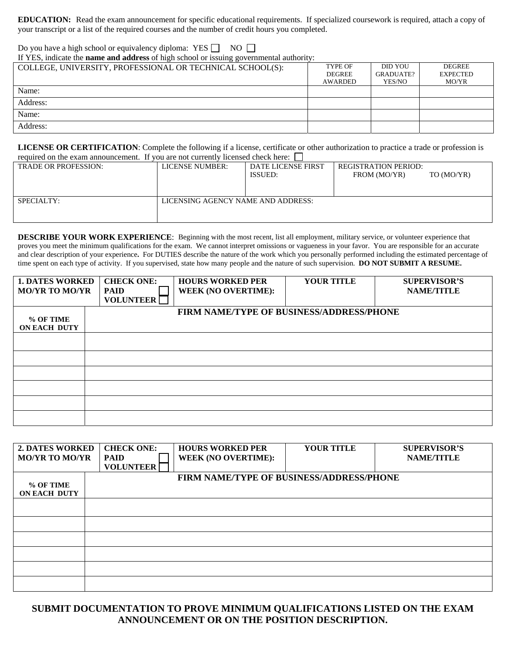**EDUCATION:** Read the exam announcement for specific educational requirements. If specialized coursework is required, attach a copy of your transcript or a list of the required courses and the number of credit hours you completed.

Do you have a high school or equivalency diploma: YES  $\Box$  NO  $\Box$ 

If YES, indicate the **name and address** of high school or issuing governmental authority:

| COLLEGE, UNIVERSITY, PROFESSIONAL OR TECHNICAL SCHOOL(S): | <b>TYPE OF</b> | DID YOU   | <b>DEGREE</b>   |
|-----------------------------------------------------------|----------------|-----------|-----------------|
|                                                           | <b>DEGREE</b>  | GRADUATE? | <b>EXPECTED</b> |
|                                                           | <b>AWARDED</b> | YES/NO    | MO/YR           |
| Name:                                                     |                |           |                 |
| Address:                                                  |                |           |                 |
| Name:                                                     |                |           |                 |
| Address:                                                  |                |           |                 |

**LICENSE OR CERTIFICATION**: Complete the following if a license, certificate or other authorization to practice a trade or profession is required on the exam announcement. If you are not currently licensed check here:  $\Box$ 

| <b>LICENSE NUMBER:</b> | <b>DATE LICENSE FIRST</b> | <b>REGISTRATION PERIOD:</b>        |            |
|------------------------|---------------------------|------------------------------------|------------|
|                        | <b>ISSUED:</b>            | FROM (MO/YR)                       | TO (MO/YR) |
|                        |                           |                                    |            |
|                        |                           |                                    |            |
|                        |                           |                                    |            |
|                        |                           |                                    |            |
|                        |                           |                                    |            |
|                        |                           | LICENSING AGENCY NAME AND ADDRESS: |            |

**DESCRIBE YOUR WORK EXPERIENCE:** Beginning with the most recent, list all employment, military service, or volunteer experience that proves you meet the minimum qualifications for the exam. We cannot interpret omissions or vagueness in your favor. You are responsible for an accurate and clear description of your experience**.** For DUTIES describe the nature of the work which you personally performed including the estimated percentage of time spent on each type of activity. If you supervised, state how many people and the nature of such supervision. **DO NOT SUBMIT A RESUME.** 

| <b>1. DATES WORKED</b> | <b>CHECK ONE:</b> | <b>HOURS WORKED PER</b>                  | <b>YOUR TITLE</b> | <b>SUPERVISOR'S</b> |
|------------------------|-------------------|------------------------------------------|-------------------|---------------------|
| <b>MO/YR TO MO/YR</b>  | <b>PAID</b>       | <b>WEEK (NO OVERTIME):</b>               |                   | <b>NAME/TITLE</b>   |
|                        | <b>VOLUNTEER</b>  |                                          |                   |                     |
|                        |                   | FIRM NAME/TYPE OF BUSINESS/ADDRESS/PHONE |                   |                     |
| % OF TIME              |                   |                                          |                   |                     |
| <b>ON EACH DUTY</b>    |                   |                                          |                   |                     |
|                        |                   |                                          |                   |                     |
|                        |                   |                                          |                   |                     |
|                        |                   |                                          |                   |                     |
|                        |                   |                                          |                   |                     |
|                        |                   |                                          |                   |                     |
|                        |                   |                                          |                   |                     |
|                        |                   |                                          |                   |                     |
|                        |                   |                                          |                   |                     |
|                        |                   |                                          |                   |                     |

| <b>2. DATES WORKED</b> | <b>CHECK ONE:</b> | <b>HOURS WORKED PER</b>                  | <b>YOUR TITLE</b> | <b>SUPERVISOR'S</b> |
|------------------------|-------------------|------------------------------------------|-------------------|---------------------|
| <b>MO/YR TO MO/YR</b>  | <b>PAID</b>       | <b>WEEK (NO OVERTIME):</b>               |                   | <b>NAME/TITLE</b>   |
|                        | <b>VOLUNTEER</b>  |                                          |                   |                     |
|                        |                   | FIRM NAME/TYPE OF BUSINESS/ADDRESS/PHONE |                   |                     |
| % OF TIME              |                   |                                          |                   |                     |
| <b>ON EACH DUTY</b>    |                   |                                          |                   |                     |
|                        |                   |                                          |                   |                     |
|                        |                   |                                          |                   |                     |
|                        |                   |                                          |                   |                     |
|                        |                   |                                          |                   |                     |
|                        |                   |                                          |                   |                     |
|                        |                   |                                          |                   |                     |
|                        |                   |                                          |                   |                     |
|                        |                   |                                          |                   |                     |

**SUBMIT DOCUMENTATION TO PROVE MINIMUM QUALIFICATIONS LISTED ON THE EXAM ANNOUNCEMENT OR ON THE POSITION DESCRIPTION.**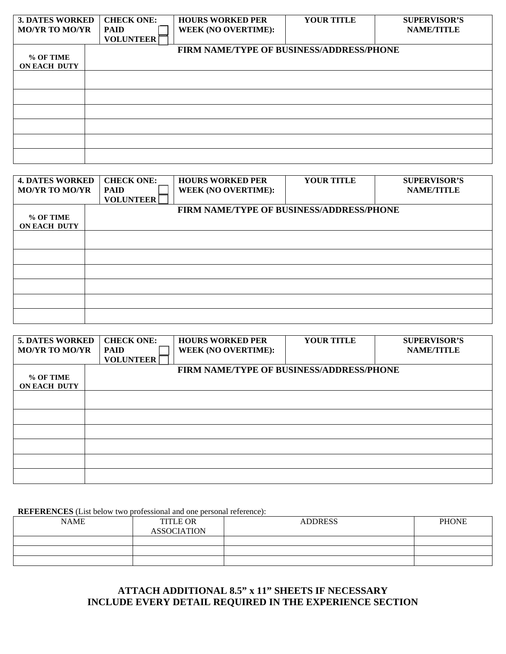| <b>3. DATES WORKED</b> | <b>CHECK ONE:</b> | <b>HOURS WORKED PER</b>                  | <b>YOUR TITLE</b> | <b>SUPERVISOR'S</b> |
|------------------------|-------------------|------------------------------------------|-------------------|---------------------|
| <b>MO/YR TO MO/YR</b>  | <b>PAID</b>       | <b>WEEK (NO OVERTIME):</b>               |                   | <b>NAME/TITLE</b>   |
|                        | <b>VOLUNTEER</b>  |                                          |                   |                     |
|                        |                   | FIRM NAME/TYPE OF BUSINESS/ADDRESS/PHONE |                   |                     |
| % OF TIME              |                   |                                          |                   |                     |
| <b>ON EACH DUTY</b>    |                   |                                          |                   |                     |
|                        |                   |                                          |                   |                     |
|                        |                   |                                          |                   |                     |
|                        |                   |                                          |                   |                     |
|                        |                   |                                          |                   |                     |
|                        |                   |                                          |                   |                     |
|                        |                   |                                          |                   |                     |
|                        |                   |                                          |                   |                     |
|                        |                   |                                          |                   |                     |
|                        |                   |                                          |                   |                     |
|                        |                   |                                          |                   |                     |

| <b>4. DATES WORKED</b> | <b>CHECK ONE:</b> | <b>HOURS WORKED PER</b>                  | <b>YOUR TITLE</b> | <b>SUPERVISOR'S</b> |
|------------------------|-------------------|------------------------------------------|-------------------|---------------------|
| <b>MO/YR TO MO/YR</b>  | <b>PAID</b>       | <b>WEEK (NO OVERTIME):</b>               |                   | <b>NAME/TITLE</b>   |
|                        | <b>VOLUNTEER</b>  |                                          |                   |                     |
|                        |                   | FIRM NAME/TYPE OF BUSINESS/ADDRESS/PHONE |                   |                     |
| % OF TIME              |                   |                                          |                   |                     |
| <b>ON EACH DUTY</b>    |                   |                                          |                   |                     |
|                        |                   |                                          |                   |                     |
|                        |                   |                                          |                   |                     |
|                        |                   |                                          |                   |                     |
|                        |                   |                                          |                   |                     |
|                        |                   |                                          |                   |                     |
|                        |                   |                                          |                   |                     |
|                        |                   |                                          |                   |                     |
|                        |                   |                                          |                   |                     |
|                        |                   |                                          |                   |                     |
|                        |                   |                                          |                   |                     |

| <b>5. DATES WORKED</b> | <b>CHECK ONE:</b> | <b>HOURS WORKED PER</b>                  | <b>YOUR TITLE</b> | <b>SUPERVISOR'S</b> |  |
|------------------------|-------------------|------------------------------------------|-------------------|---------------------|--|
| <b>MO/YR TO MO/YR</b>  | <b>PAID</b>       | <b>WEEK (NO OVERTIME):</b>               |                   | <b>NAME/TITLE</b>   |  |
|                        | <b>VOLUNTEER</b>  |                                          |                   |                     |  |
|                        |                   | FIRM NAME/TYPE OF BUSINESS/ADDRESS/PHONE |                   |                     |  |
| % OF TIME              |                   |                                          |                   |                     |  |
| <b>ON EACH DUTY</b>    |                   |                                          |                   |                     |  |
|                        |                   |                                          |                   |                     |  |
|                        |                   |                                          |                   |                     |  |
|                        |                   |                                          |                   |                     |  |
|                        |                   |                                          |                   |                     |  |
|                        |                   |                                          |                   |                     |  |
|                        |                   |                                          |                   |                     |  |
|                        |                   |                                          |                   |                     |  |
|                        |                   |                                          |                   |                     |  |

**REFERENCES** (List below two professional and one personal reference):

| <b>NAME</b> | <b>TITLE OR</b><br><b>ASSOCIATION</b> | <b>ADDRESS</b> | <b>PHONE</b> |
|-------------|---------------------------------------|----------------|--------------|
|             |                                       |                |              |
|             |                                       |                |              |
|             |                                       |                |              |

# **ATTACH ADDITIONAL 8.5" x 11" SHEETS IF NECESSARY INCLUDE EVERY DETAIL REQUIRED IN THE EXPERIENCE SECTION**